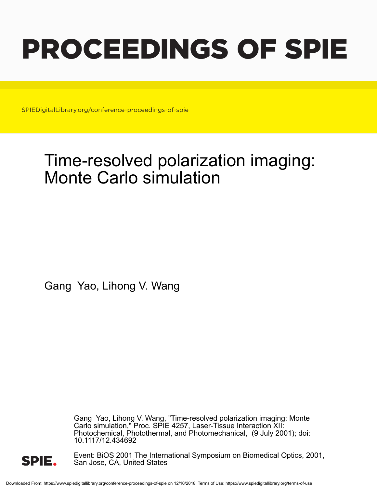# PROCEEDINGS OF SPIE

SPIEDigitalLibrary.org/conference-proceedings-of-spie

## Time-resolved polarization imaging: Monte Carlo simulation

Gang Yao, Lihong V. Wang

Gang Yao, Lihong V. Wang, "Time-resolved polarization imaging: Monte Carlo simulation," Proc. SPIE 4257, Laser-Tissue Interaction XII: Photochemical, Photothermal, and Photomechanical, (9 July 2001); doi: 10.1117/12.434692



Event: BiOS 2001 The International Symposium on Biomedical Optics, 2001, San Jose, CA, United States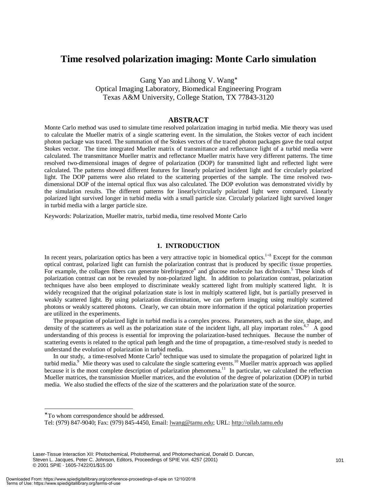### **Time resolved polarization imaging: Monte Carlo simulation**

Gang Yao and Lihong V. Wang<sup>∗</sup> Optical Imaging Laboratory, Biomedical Engineering Program Texas A&M University, College Station, TX 77843-3120

#### **ABSTRACT**

Monte Carlo method was used to simulate time resolved polarization imaging in turbid media. Mie theory was used to calculate the Mueller matrix of a single scattering event. In the simulation, the Stokes vector of each incident photon package was traced. The summation of the Stokes vectors of the traced photon packages gave the total output Stokes vector. The time integrated Mueller matrix of transmittance and reflectance light of a turbid media were calculated. The transmittance Mueller matrix and reflectance Mueller matrix have very different patterns. The time resolved two-dimensional images of degree of polarization (DOP) for transmitted light and reflected light were calculated. The patterns showed different features for linearly polarized incident light and for circularly polarized light. The DOP patterns were also related to the scattering properties of the sample. The time resolved twodimensional DOP of the internal optical flux was also calculated. The DOP evolution was demonstrated vividly by the simulation results. The different patterns for linearly/circularly polarized light were compared. Linearly polarized light survived longer in turbid media with a small particle size. Circularly polarized light survived longer in turbid media with a larger particle size.

Keywords: Polarization, Mueller matrix, turbid media, time resolved Monte Carlo

#### **1. INTRODUCTION**

In recent years, polarization optics has been a very attractive topic in biomedical optics.<sup>1–3</sup> Except for the common optical contrast, polarized light can furnish the polarization contrast that is produced by specific tissue properties. For example, the collagen fibers can generate birefringence<sup>4</sup> and glucose molecule has dichroism.<sup>5</sup> These kinds of polarization contrast can not be revealed by non-polarized light. In addition to polarization contrast, polarization techniques have also been employed to discriminate weakly scattered light from multiply scattered light. It is widely recognized that the original polarization state is lost in multiply scattered light, but is partially preserved in weakly scattered light. By using polarization discrimination, we can perform imaging using multiply scattered photons or weakly scattered photons. Clearly, we can obtain more information if the optical polarization properties are utilized in the experiments.

The propagation of polarized light in turbid media is a complex process. Parameters, such as the size, shape, and density of the scatterers as well as the polarization state of the incident light, all play important roles.<sup>6,7</sup> A good understanding of this process is essential for improving the polarization-based techniques. Because the number of scattering events is related to the optical path length and the time of propagation, a time-resolved study is needed to understand the evolution of polarization in turbid media.

In our study, a time-resolved Monte Carlo<sup>8</sup> technique was used to simulate the propagation of polarized light in turbid media.<sup>9</sup> Mie theory was used to calculate the single scattering events.<sup>10</sup> Mueller matrix approach was applied because it is the most complete description of polarization phenomena.<sup>11</sup> In particular, we calculated the reflection Mueller matrices, the transmission Mueller matrices, and the evolution of the degree of polarization (DOP) in turbid media. We also studied the effects of the size of the scatterers and the polarization state of the source.

 $\overline{a}$ 

<sup>∗</sup> To whom correspondence should be addressed.

Tel: (979) 847-9040; Fax: (979) 845-4450, Email: lwang@tamu.edu; URL: http://oilab.tamu.edu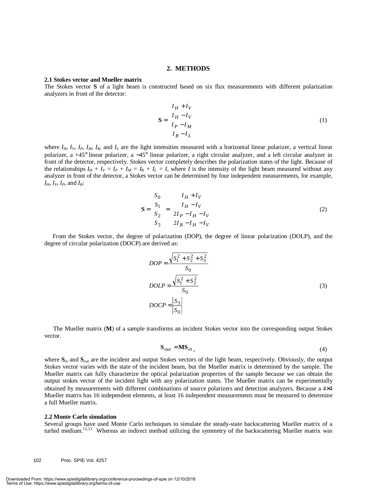#### **2. METHODS**

#### **2.1 Stokes vector and Mueller matrix**

The Stokes vector **S** of a light beam is constructed based on six flux measurements with different polarization analyzers in front of the detector:

$$
\mathbf{S} = \begin{pmatrix} I_H + I_V \\ I_H - I_V \\ I_P - I_M \\ I_R - I_L \end{pmatrix}
$$
 (1)

where  $I_H$ ,  $I_V$ ,  $I_P$ ,  $I_M$ ,  $I_R$ , and  $I_L$  are the light intensities measured with a horizontal linear polarizer, a vertical linear polarizer, a +45° linear polarizer, a −45° linear polarizer, a right circular analyzer, and a left circular analyzer in front of the detector, respectively. Stokes vector completely describes the polarization states of the light. Because of the relationships  $I_H + I_V = I_P + I_M = I_R + I_L = I$ , where *I* is the intensity of the light beam measured without any analyzer in front of the detector, a Stokes vector can be determined by four independent measurements, for example, *IH*, *IV*, *IP*, and *IR*:

$$
\mathbf{S} = \begin{pmatrix} S_0 \\ S_1 \\ S_2 \\ S_3 \end{pmatrix} = \begin{pmatrix} I_H + I_V \\ I_H - I_V \\ 2I_P - I_H - I_V \\ 2I_R - I_H - I_V \end{pmatrix}
$$
 (2)

From the Stokes vector, the degree of polarization (DOP), the degree of linear polarization (DOLP), and the degree of circular polarization (DOCP) are derived as:

$$
DOP = \frac{\sqrt{S_1^2 + S_2^2 + S_3^2}}{S_0}
$$
  
DOLP =  $\frac{\sqrt{S_1^2 + S_2^2}}{S_0}$  (3)  
DOCP =  $\frac{S_3}{|S_0|}$ 

The Mueller matrix (**M**) of a sample transforms an incident Stokes vector into the corresponding output Stokes vector.

$$
\mathbf{S}_{out} = \mathbf{M} \mathbf{S}_{in} \tag{4}
$$

where  $S$ <sub>*in*</sub> and  $S$ <sub>*out*</sub> are the incident and output Stokes vectors of the light beam, respectively. Obviously, the output Stokes vector varies with the state of the incident beam, but the Mueller matrix is determined by the sample. The Mueller matrix can fully characterize the optical polarization properties of the sample because we can obtain the output stokes vector of the incident light with any polarization states. The Mueller matrix can be experimentally obtained by measurements with different combinations of source polarizers and detection analyzers. Because a 4×4 Mueller matrix has 16 independent elements, at least 16 independent measurements must be measured to determine a full Mueller matrix.

#### **2.2 Monte Carlo simulation**

Several groups have used Monte Carlo techniques to simulate the steady-state backscattering Mueller matrix of a turbid medium.<sup>12,13</sup> Whereas an indirect method utilizing the symmetry of the backscattering Mueller matrix was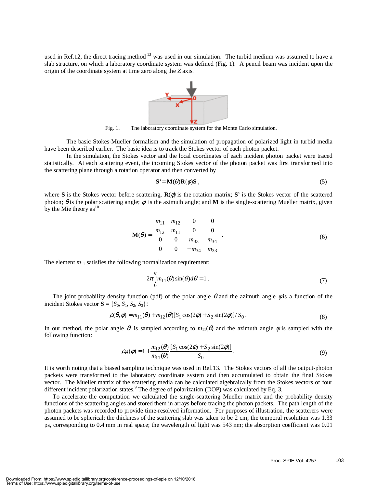used in Ref.12, the direct tracing method <sup>13</sup> was used in our simulation. The turbid medium was assumed to have a slab structure, on which a laboratory coordinate system was defined (Fig. 1). A pencil beam was incident upon the origin of the coordinate system at time zero along the *Z* axis.



Fig. 1. The laboratory coordinate system for the Monte Carlo simulation.

The basic Stokes-Mueller formalism and the simulation of propagation of polarized light in turbid media have been described earlier. The basic idea is to track the Stokes vector of each photon packet.

In the simulation, the Stokes vector and the local coordinates of each incident photon packet were traced statistically. At each scattering event, the incoming Stokes vector of the photon packet was first transformed into the scattering plane through a rotation operator and then converted by

$$
S' = M(\theta)R(\phi)S , \qquad (5)
$$

where **S** is the Stokes vector before scattering,  $\mathbf{R}(\phi)$  is the rotation matrix; **S'** is the Stokes vector of the scattered photon; θ is the polar scattering angle;  $φ$  is the azimuth angle; and **M** is the single-scattering Mueller matrix, given by the Mie theory  $as<sup>10</sup>$ 

$$
\mathbf{M}(\theta) = \begin{bmatrix} m_{11} & m_{12} & 0 & 0 \\ m_{12} & m_{11} & 0 & 0 \\ 0 & 0 & m_{33} & m_{34} \\ 0 & 0 & -m_{34} & m_{33} \end{bmatrix}.
$$
 (6)

The element  $m_{11}$  satisfies the following normalization requirement:

$$
2\pi \int_{0}^{\pi} m_{11}(\theta) \sin(\theta) d\theta = 1.
$$
 (7)

The joint probability density function (pdf) of the polar angle  $\theta$  and the azimuth angle  $\phi$  is a function of the incident Stokes vector  $S = \{S_0, S_1, S_2, S_3\}$ :

$$
\rho(\theta, \phi) = m_{11}(\theta) + m_{12}(\theta)[S_1 \cos(2\phi) + S_2 \sin(2\phi)]/S_0.
$$
\n(8)

In our method, the polar angle  $\theta$  is sampled according to  $m_{11}(\theta)$  and the azimuth angle  $\phi$  is sampled with the following function:

$$
\rho_{\theta}(\phi) = 1 + \frac{m_{12}(\theta)}{m_{11}(\theta)} \frac{[S_1 \cos(2\phi) + S_2 \sin(2\phi)]}{S_0}.
$$
\n(9)

It is worth noting that a biased sampling technique was used in Ref.13. The Stokes vectors of all the output-photon packets were transformed to the laboratory coordinate system and then accumulated to obtain the final Stokes vector. The Mueller matrix of the scattering media can be calculated algebraically from the Stokes vectors of four different incident polarization states.<sup>9</sup> The degree of polarization (DOP) was calculated by Eq. 3.

To accelerate the computation we calculated the single-scattering Mueller matrix and the probability density functions of the scattering angles and stored them in arrays before tracing the photon packets. The path length of the photon packets was recorded to provide time-resolved information. For purposes of illustration, the scatterers were assumed to be spherical; the thickness of the scattering slab was taken to be 2 cm; the temporal resolution was 1.33 ps, corresponding to 0.4 mm in real space; the wavelength of light was 543 nm; the absorption coefficient was 0.01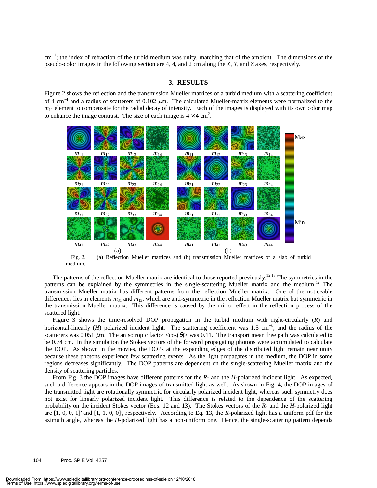cm<sup>-1</sup>; the index of refraction of the turbid medium was unity, matching that of the ambient. The dimensions of the pseudo-color images in the following section are 4, 4, and 2 cm along the *X*, *Y*, and *Z* axes, respectively.

#### **3. RESULTS**

Figure 2 shows the reflection and the transmission Mueller matrices of a turbid medium with a scattering coefficient of 4 cm<sup>-1</sup> and a radius of scatterers of 0.102  $\mu$ m. The calculated Mueller-matrix elements were normalized to the  $m<sub>11</sub>$  element to compensate for the radial decay of intensity. Each of the images is displayed with its own color map to enhance the image contrast. The size of each image is  $4 \times 4$  cm<sup>2</sup>.



Fig. 2. (a) Reflection Mueller matrices and (b) transmission Mueller matrices of a slab of turbid medium.

The patterns of the reflection Mueller matrix are identical to those reported previously.<sup>12,13</sup> The symmetries in the patterns can be explained by the symmetries in the single-scattering Mueller matrix and the medium.<sup>12</sup> The transmission Mueller matrix has different patterns from the reflection Mueller matrix. One of the noticeable differences lies in elements  $m_{31}$  and  $m_{13}$ , which are anti-symmetric in the reflection Mueller matrix but symmetric in the transmission Mueller matrix. This difference is caused by the mirror effect in the reflection process of the scattered light.

Figure 3 shows the time-resolved DOP propagation in the turbid medium with right-circularly (*R*) and horizontal-linearly (*H*) polarized incident light. The scattering coefficient was 1.5 cm<sup>-1</sup>, and the radius of the scatterers was 0.051  $\mu$ m. The anisotropic factor <cos( $\theta$ )> was 0.11. The transport mean free path was calculated to be 0.74 cm. In the simulation the Stokes vectors of the forward propagating photons were accumulated to calculate the DOP. As shown in the movies, the DOPs at the expanding edges of the distributed light remain near unity because these photons experience few scattering events. As the light propagates in the medium, the DOP in some regions decreases significantly. The DOP patterns are dependent on the single-scattering Mueller matrix and the density of scattering particles.

From Fig. 3 the DOP images have different patterns for the *R*- and the *H*-polarized incident light. As expected, such a difference appears in the DOP images of transmitted light as well. As shown in Fig. 4, the DOP images of the transmitted light are rotationally symmetric for circularly polarized incident light, whereas such symmetry does not exist for linearly polarized incident light. This difference is related to the dependence of the scattering probability on the incident Stokes vector (Eqs. 12 and 13). The Stokes vectors of the *R*- and the *H*-polarized light are [1, 0, 0, 1]' and [1, 1, 0, 0]', respectively. According to Eq. 13, the *R*-polarized light has a uniform pdf for the azimuth angle, whereas the *H*-polarized light has a non-uniform one. Hence, the single-scattering pattern depends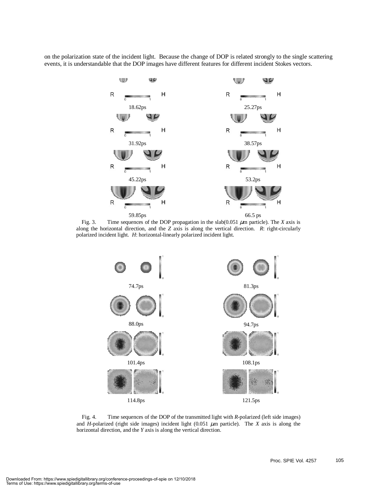on the polarization state of the incident light. Because the change of DOP is related strongly to the single scattering events, it is understandable that the DOP images have different features for different incident Stokes vectors.



Fig. 3. Time sequences of the DOP propagation in the slab(0.051  $\mu$ m particle). The *X* axis is along the horizontal direction, and the *Z* axis is along the vertical direction. *R*: right-circularly polarized incident light. *H*: horizontal-linearly polarized incident light.



Fig. 4. Time sequences of the DOP of the transmitted light with *R*-polarized (left side images) and *H*-polarized (right side images) incident light  $(0.051 \mu m)$  particle). The *X* axis is along the horizontal direction, and the *Y* axis is along the vertical direction.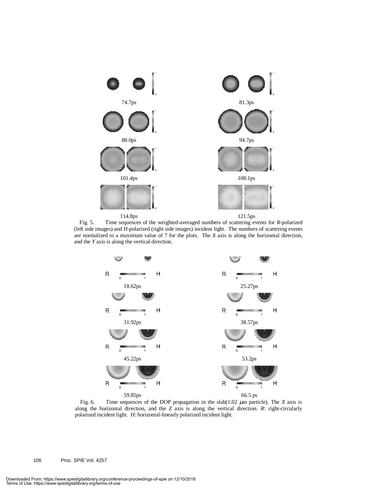

114.8ps 121.5ps

Fig. 5. Time sequences of the weighted-averaged numbers of scattering events for *R*-polarized (left side images) and *H*-polarized (right side images) incident light. The numbers of scattering events are normalized to a maximum value of 7 for the plots. The *X* axis is along the horizontal direction, and the *Y* axis is along the vertical direction.



Fig. 6. Time sequences of the DOP propagation in the slab( $1.02 \mu$ m particle). The *X* axis is along the horizontal direction, and the *Z* axis is along the vertical direction. *R*: right-circularly polarized incident light. *H*: horizontal-linearly polarized incident light.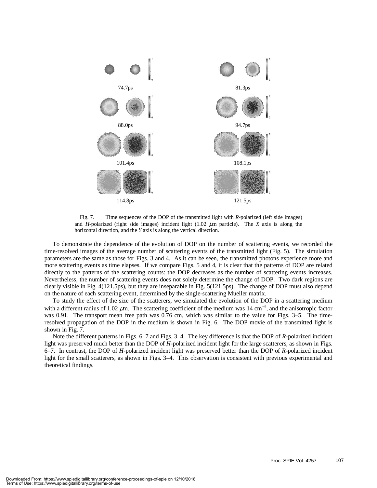

Fig. 7. Time sequences of the DOP of the transmitted light with *R*-polarized (left side images) and *H*-polarized (right side images) incident light  $(1.02 \mu m)$  particle). The *X* axis is along the horizontal direction, and the *Y* axis is along the vertical direction.

To demonstrate the dependence of the evolution of DOP on the number of scattering events, we recorded the time-resolved images of the average number of scattering events of the transmitted light (Fig. 5). The simulation parameters are the same as those for Figs. 3 and 4. As it can be seen, the transmitted photons experience more and more scattering events as time elapses. If we compare Figs. 5 and 4, it is clear that the patterns of DOP are related directly to the patterns of the scattering counts: the DOP decreases as the number of scattering events increases. Nevertheless, the number of scattering events does not solely determine the change of DOP. Two dark regions are clearly visible in Fig. 4(121.5ps), but they are inseparable in Fig. 5(121.5ps). The change of DOP must also depend on the nature of each scattering event, determined by the single-scattering Mueller matrix.

To study the effect of the size of the scatterers, we simulated the evolution of the DOP in a scattering medium with a different radius of 1.02  $\mu$ m. The scattering coefficient of the medium was 14 cm<sup>-1</sup>, and the anisotropic factor was 0.91. The transport mean free path was 0.76 cm, which was similar to the value for Figs. 3–5. The timeresolved propagation of the DOP in the medium is shown in Fig. 6. The DOP movie of the transmitted light is shown in Fig. 7.

Note the different patterns in Figs. 6–7 and Figs. 3–4. The key difference is that the DOP of *R*-polarized incident light was preserved much better than the DOP of *H*-polarized incident light for the large scatterers, as shown in Figs. 6–7. In contrast, the DOP of *H*-polarized incident light was preserved better than the DOP of *R*-polarized incident light for the small scatterers, as shown in Figs. 3–4. This observation is consistent with previous experimental and theoretical findings.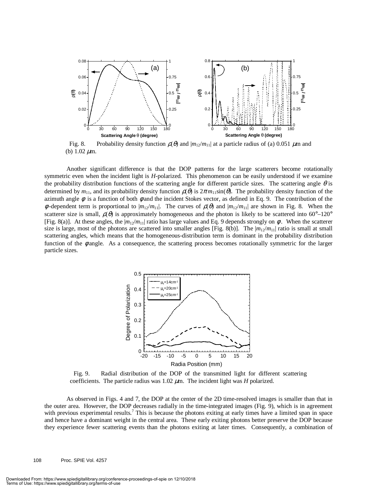

Fig. 8. Probability density function  $\rho(\theta)$  and  $|m_{12}/m_{11}|$  at a particle radius of (a) 0.051  $\mu$ m and (b)  $1.02 \mu m$ .

Another significant difference is that the DOP patterns for the large scatterers become rotationally symmetric even when the incident light is *H*-polarized. This phenomenon can be easily understood if we examine the probability distribution functions of the scattering angle for different particle sizes. The scattering angle  $\theta$  is determined by  $m_{11}$ , and its probability density function  $\rho(\theta)$  is  $2\pi m_{11}\sin(\theta)$ . The probability density function of the azimuth angle  $\phi$  is a function of both  $\phi$  and the incident Stokes vector, as defined in Eq. 9. The contribution of the  $\phi$ -dependent term is proportional to  $|m_{12}/m_{11}|$ . The curves of  $\rho(\theta)$  and  $|m_{12}/m_{11}|$  are shown in Fig. 8. When the scatterer size is small,  $\rho(\theta)$  is approximately homogeneous and the photon is likely to be scattered into 60°–120° [Fig. 8(a)]. At these angles, the  $|m_{12}/m_{11}|$  ratio has large values and Eq. 9 depends strongly on  $\phi$ . When the scatterer size is large, most of the photons are scattered into smaller angles [Fig. 8(b)]. The  $|m_{12}/m_{11}|$  ratio is small at small scattering angles, which means that the homogeneous-distribution term is dominant in the probability distribution function of the  $\phi$  angle. As a consequence, the scattering process becomes rotationally symmetric for the larger particle sizes.



Fig. 9. Radial distribution of the DOP of the transmitted light for different scattering coefficients. The particle radius was  $1.02 \mu m$ . The incident light was *H* polarized.

As observed in Figs. 4 and 7, the DOP at the center of the 2D time-resolved images is smaller than that in the outer area. However, the DOP decreases radially in the time-integrated images (Fig. 9), which is in agreement with previous experimental results.<sup>7</sup> This is because the photons exiting at early times have a limited span in space and hence have a dominant weight in the central area. These early exiting photons better preserve the DOP because they experience fewer scattering events than the photons exiting at later times. Consequently, a combination of